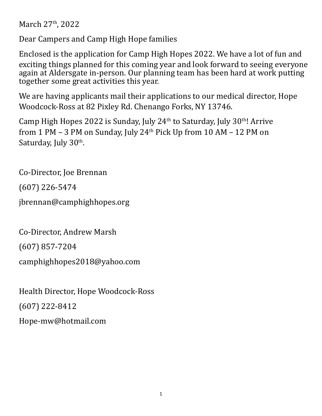March 27<sup>th</sup>, 2022

Dear Campers and Camp High Hope families

Enclosed is the application for Camp High Hopes 2022. We have a lot of fun and exciting things planned for this coming year and look forward to seeing everyone again at Aldersgate in-person. Our planning team has been hard at work putting together some great activities this year.

We are having applicants mail their applications to our medical director, Hope Woodcock-Ross at 82 Pixley Rd. Chenango Forks, NY 13746.

Camp High Hopes 2022 is Sunday, July 24<sup>th</sup> to Saturday, July 30<sup>th</sup>! Arrive from 1 PM  $-$  3 PM on Sunday, July 24<sup>th</sup> Pick Up from 10 AM  $-$  12 PM on Saturday, July 30<sup>th</sup>.

Co-Director, Joe Brennan

(607) 226-5474

jbrennan@camphighhopes.org

Co-Director, Andrew Marsh

(607) 857-7204

camphighhopes2018@yahoo.com

Health Director, Hope Woodcock-Ross (607) 222-8412 Hope-mw@hotmail.com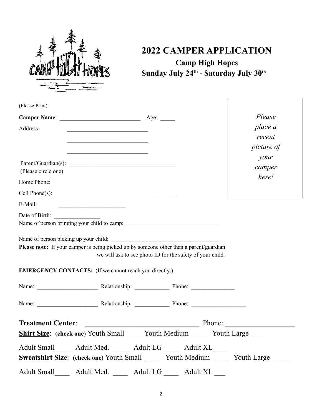

# **2022 CAMPER APPLICATION Camp High Hopes Sunday July 24th - Saturday July 30th**

| (Please Print)                                                                                                                                                                                                                                      |                                                           |                   |
|-----------------------------------------------------------------------------------------------------------------------------------------------------------------------------------------------------------------------------------------------------|-----------------------------------------------------------|-------------------|
|                                                                                                                                                                                                                                                     |                                                           | Please            |
| Address:                                                                                                                                                                                                                                            |                                                           | place a           |
|                                                                                                                                                                                                                                                     |                                                           | recent            |
|                                                                                                                                                                                                                                                     |                                                           | <i>picture of</i> |
|                                                                                                                                                                                                                                                     |                                                           | your              |
| (Please circle one)                                                                                                                                                                                                                                 |                                                           | camper            |
| Home Phone:<br><u> The Communication of the Communication of the Communication of the Communication of the Communication of the Communication of the Communication of the Communication of the Communication of the Communication of the Commun</u> |                                                           | here!             |
| Cell Phone(s): $\qquad \qquad$                                                                                                                                                                                                                      |                                                           |                   |
| E-Mail:                                                                                                                                                                                                                                             |                                                           |                   |
|                                                                                                                                                                                                                                                     |                                                           |                   |
| Name of person bringing your child to camp:                                                                                                                                                                                                         |                                                           |                   |
| Name of person picking up your child:<br>Please note: If your camper is being picked up by someone other than a parent/guardian                                                                                                                     | we will ask to see photo ID for the safety of your child. |                   |
| <b>EMERGENCY CONTACTS:</b> (If we cannot reach you directly.)                                                                                                                                                                                       |                                                           |                   |
|                                                                                                                                                                                                                                                     |                                                           |                   |
|                                                                                                                                                                                                                                                     |                                                           |                   |
| <b>Treatment Center:</b>                                                                                                                                                                                                                            | Phone:                                                    |                   |
| <b>Shirt Size:</b> (check one) Youth Small _____ Youth Medium _____ Youth Large                                                                                                                                                                     |                                                           |                   |
| Adult Small and Adult Med. Adult LG Adult XL                                                                                                                                                                                                        |                                                           |                   |
| <b>Sweatshirt Size:</b> (check one) Youth Small Youth Medium Youth Large                                                                                                                                                                            |                                                           |                   |
| Adult Small Adult Med. Adult LG Adult XL                                                                                                                                                                                                            |                                                           |                   |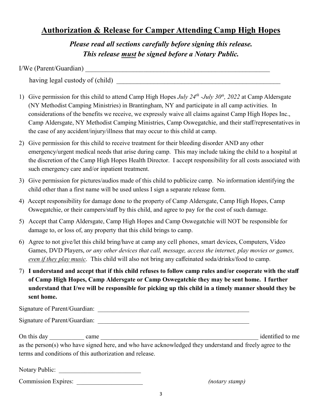# **Authorization & Release for Camper Attending Camp High Hopes**

*Please read all sections carefully before signing this release. This release must be signed before a Notary Public.*

| I/We (Parent/Guardian) |  |
|------------------------|--|
|                        |  |

having legal custody of (child)

- 1) Give permission for this child to attend Camp High Hopes *July 24th -July 30th, 2022* at Camp Aldersgate (NY Methodist Camping Ministries) in Brantingham, NY and participate in all camp activities. In considerations of the benefits we receive, we expressly waive all claims against Camp High Hopes Inc., Camp Aldersgate, NY Methodist Camping Ministries, Camp Oswegatchie, and their staff/representatives in the case of any accident/injury/illness that may occur to this child at camp.
- 2) Give permission for this child to receive treatment for their bleeding disorder AND any other emergency/urgent medical needs that arise during camp. This may include taking the child to a hospital at the discretion of the Camp High Hopes Health Director. I accept responsibility for all costs associated with such emergency care and/or inpatient treatment.
- 3) Give permission for pictures/audios made of this child to publicize camp. No information identifying the child other than a first name will be used unless I sign a separate release form.
- 4) Accept responsibility for damage done to the property of Camp Aldersgate, Camp High Hopes, Camp Oswegatchie, or their campers/staff by this child, and agree to pay for the cost of such damage.
- 5) Accept that Camp Aldersgate, Camp High Hopes and Camp Oswegatchie will NOT be responsible for damage to, or loss of, any property that this child brings to camp.
- 6) Agree to not give/let this child bring/have at camp any cell phones, smart devices, Computers, Video Games, DVD Players, *or any other devices that call, message, access the internet, play movies or games, even if they play music*. This child will also not bring any caffeinated soda/drinks/food to camp.
- 7) **I understand and accept that if this child refuses to follow camp rules and/or cooperate with the staff of Camp High Hopes, Camp Aldersgate or Camp Oswegatchie they may be sent home. I further understand that I/we will be responsible for picking up this child in a timely manner should they be sent home.**

| Signature of Parent/Guardian:                                                                                                                                       |                  |
|---------------------------------------------------------------------------------------------------------------------------------------------------------------------|------------------|
| Signature of Parent/Guardian:                                                                                                                                       |                  |
| On this day came                                                                                                                                                    | identified to me |
| as the person(s) who have signed here, and who have acknowledged they understand and freely agree to the<br>terms and conditions of this authorization and release. |                  |
| Notary Public:                                                                                                                                                      |                  |

(notary stamp)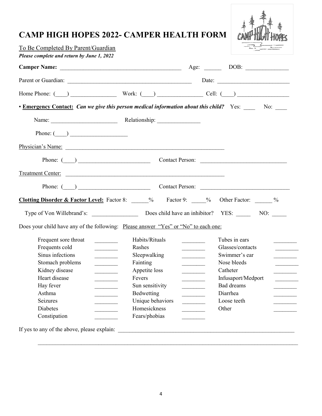# **CAMP HIGH HOPES 2022- CAMPER HEALTH FORM**



| To Be Completed By Parent/Guardian         |                                                                                                                                                                                                                                                                                                                                                                                                                                                                                       | $\frac{1}{2}$ $\frac{1}{2}$ $\frac{1}{2}$ $\frac{1}{2}$ $\frac{1}{2}$ $\frac{1}{2}$ $\frac{1}{2}$ $\frac{1}{2}$ $\frac{1}{2}$ $\frac{1}{2}$ $\frac{1}{2}$ $\frac{1}{2}$ $\frac{1}{2}$ $\frac{1}{2}$ $\frac{1}{2}$ $\frac{1}{2}$ $\frac{1}{2}$ $\frac{1}{2}$ $\frac{1}{2}$ $\frac{1}{2}$ $\frac{1}{2}$ $\frac{1}{2}$ |
|--------------------------------------------|---------------------------------------------------------------------------------------------------------------------------------------------------------------------------------------------------------------------------------------------------------------------------------------------------------------------------------------------------------------------------------------------------------------------------------------------------------------------------------------|---------------------------------------------------------------------------------------------------------------------------------------------------------------------------------------------------------------------------------------------------------------------------------------------------------------------|
| Please complete and return by June 1, 2022 |                                                                                                                                                                                                                                                                                                                                                                                                                                                                                       |                                                                                                                                                                                                                                                                                                                     |
|                                            |                                                                                                                                                                                                                                                                                                                                                                                                                                                                                       |                                                                                                                                                                                                                                                                                                                     |
|                                            |                                                                                                                                                                                                                                                                                                                                                                                                                                                                                       |                                                                                                                                                                                                                                                                                                                     |
|                                            | Home Phone: $\qquad \qquad$ Work: $\qquad \qquad$ Cell: $\qquad \qquad$                                                                                                                                                                                                                                                                                                                                                                                                               |                                                                                                                                                                                                                                                                                                                     |
|                                            | <b>Emergency Contact:</b> Can we give this person medical information about this child? Yes: No: No:                                                                                                                                                                                                                                                                                                                                                                                  |                                                                                                                                                                                                                                                                                                                     |
|                                            |                                                                                                                                                                                                                                                                                                                                                                                                                                                                                       |                                                                                                                                                                                                                                                                                                                     |
| Phone: $\qquad \qquad$                     |                                                                                                                                                                                                                                                                                                                                                                                                                                                                                       |                                                                                                                                                                                                                                                                                                                     |
|                                            |                                                                                                                                                                                                                                                                                                                                                                                                                                                                                       |                                                                                                                                                                                                                                                                                                                     |
|                                            |                                                                                                                                                                                                                                                                                                                                                                                                                                                                                       |                                                                                                                                                                                                                                                                                                                     |
|                                            |                                                                                                                                                                                                                                                                                                                                                                                                                                                                                       |                                                                                                                                                                                                                                                                                                                     |
|                                            |                                                                                                                                                                                                                                                                                                                                                                                                                                                                                       |                                                                                                                                                                                                                                                                                                                     |
|                                            |                                                                                                                                                                                                                                                                                                                                                                                                                                                                                       |                                                                                                                                                                                                                                                                                                                     |
|                                            |                                                                                                                                                                                                                                                                                                                                                                                                                                                                                       |                                                                                                                                                                                                                                                                                                                     |
|                                            |                                                                                                                                                                                                                                                                                                                                                                                                                                                                                       |                                                                                                                                                                                                                                                                                                                     |
|                                            | Does your child have any of the following: Please answer "Yes" or "No" to each one:                                                                                                                                                                                                                                                                                                                                                                                                   |                                                                                                                                                                                                                                                                                                                     |
| Frequent sore throat                       | Habits/Rituals                                                                                                                                                                                                                                                                                                                                                                                                                                                                        | Tubes in ears                                                                                                                                                                                                                                                                                                       |
| Frequents cold                             | Rashes                                                                                                                                                                                                                                                                                                                                                                                                                                                                                | Glasses/contacts                                                                                                                                                                                                                                                                                                    |
| Sinus infections                           | <u> Liberal Communication</u><br>Sleepwalking                                                                                                                                                                                                                                                                                                                                                                                                                                         | Swimmer's ear<br><b>Contract Contract</b>                                                                                                                                                                                                                                                                           |
| Stomach problems                           | $\frac{1}{1-\frac{1}{1-\frac{1}{1-\frac{1}{1-\frac{1}{1-\frac{1}{1-\frac{1}{1-\frac{1}{1-\frac{1}{1-\frac{1}{1-\frac{1}{1-\frac{1}{1-\frac{1}{1-\frac{1}{1-\frac{1}{1-\frac{1}{1-\frac{1}{1-\frac{1}{1-\frac{1}{1-\frac{1}{1-\frac{1}{1-\frac{1}{1-\frac{1}{1-\frac{1}{1-\frac{1}{1-\frac{1}{1-\frac{1}{1-\frac{1}{1-\frac{1}{1-\frac{1}{1-\frac{1}{1-\frac{1}{1-\frac{1}{1-\frac{1}{1-\frac{1}{1-\frac{1}{1-\frac{1$<br>Fainting<br>$\overline{\phantom{a}}$<br><u>and the state</u> | Nose bleeds                                                                                                                                                                                                                                                                                                         |
| Kidney disease                             | Appetite loss                                                                                                                                                                                                                                                                                                                                                                                                                                                                         | Catheter                                                                                                                                                                                                                                                                                                            |
| Heart disease                              | Fevers                                                                                                                                                                                                                                                                                                                                                                                                                                                                                | Infusaport/Medport                                                                                                                                                                                                                                                                                                  |
| Hay fever                                  | Sun sensitivity                                                                                                                                                                                                                                                                                                                                                                                                                                                                       | Bad dreams                                                                                                                                                                                                                                                                                                          |
| Asthma                                     | Bedwetting                                                                                                                                                                                                                                                                                                                                                                                                                                                                            | Diarrhea                                                                                                                                                                                                                                                                                                            |
| Seizures                                   |                                                                                                                                                                                                                                                                                                                                                                                                                                                                                       | Loose teeth                                                                                                                                                                                                                                                                                                         |
| Diabetes                                   | Unique behaviors<br>Homesickness                                                                                                                                                                                                                                                                                                                                                                                                                                                      | Other                                                                                                                                                                                                                                                                                                               |

 $\mathcal{L}_\text{max}$  , and the contract of the contract of the contract of the contract of the contract of the contract of the contract of the contract of the contract of the contract of the contract of the contract of the contr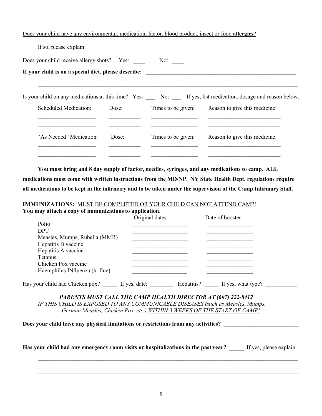Does your child have any environmental, medication, factor, blood product, insect or food **allergies**?

| If so, please explain:                               |       |                    |                                                                                                           |
|------------------------------------------------------|-------|--------------------|-----------------------------------------------------------------------------------------------------------|
| Does your child receive allergy shots? Yes:          |       | No:                |                                                                                                           |
| If your child is on a special diet, please describe: |       |                    |                                                                                                           |
|                                                      |       |                    | Is your child on any medications at this time? Yes: No: If yes, list medication, dosage and reason below. |
| Scheduled Medication:                                | Dose: |                    | Times to be given: Reason to give this medicine:                                                          |
| "As Needed" Medication:                              | Dose: | Times to be given: | Reason to give this medicine:                                                                             |
|                                                      |       |                    |                                                                                                           |

**You must bring and 8 day supply of factor, needles, syringes, and any medications to camp. ALL medications must come with written instructions from the MD/NP. NY State Health Dept. regulations require all medications to be kept in the infirmary and to be taken under the supervision of the Camp Infirmary Staff.**

#### **IMMUNIZATIONS:** MUST BE COMPLETED OR YOUR CHILD CAN NOT ATTEND CAMP! **You may attach a copy of immunizations to application**.

|                                                                                    | Original dates                                                             | Date of booster |                         |
|------------------------------------------------------------------------------------|----------------------------------------------------------------------------|-----------------|-------------------------|
| Polio                                                                              |                                                                            |                 |                         |
| <b>DPT</b>                                                                         | the control of the control of the control of the control of the control of |                 |                         |
| Measles, Mumps, Rubella (MMR)                                                      |                                                                            |                 |                         |
| Hepatitis B vaccine                                                                |                                                                            |                 |                         |
| Hepatitis A vaccine                                                                |                                                                            |                 |                         |
| Tetanus                                                                            |                                                                            |                 |                         |
| Chicken Pox vaccine                                                                |                                                                            |                 |                         |
| Haemphilus INfluenza (h. flue)                                                     |                                                                            |                 |                         |
| Has your child had Chicken pox? If yes, date: Hepatitis? If yes, what type?        |                                                                            |                 |                         |
| <b>PARENTS MUST CALL THE CAMP HEALTH DIRECTOR AT (607) 222-8412</b>                |                                                                            |                 |                         |
| IF THIS CHILD IS EXPOSED TO ANY COMMUNICABLE DISEASES (such as Measles, Mumps,     |                                                                            |                 |                         |
| German Measles, Chicken Pox, etc.) WITHIN 3 WEEKS OF THE START OF CAMP!            |                                                                            |                 |                         |
| Does your child have any physical limitations or restrictions from any activities? |                                                                            |                 |                         |
| Has your child had any emergency room visits or hospitalizations in the past year? |                                                                            |                 | If yes, please explain. |

\_\_\_\_\_\_\_\_\_\_\_\_\_\_\_\_\_\_\_\_\_\_\_\_\_\_\_\_\_\_\_\_\_\_\_\_\_\_\_\_\_\_\_\_\_\_\_\_\_\_\_\_\_\_\_\_\_\_\_\_\_\_\_\_\_\_\_\_\_\_\_\_\_\_\_\_\_\_\_\_\_\_\_\_\_\_\_\_\_\_

 $\mathcal{L}_\text{max}$  , and the contribution of the contribution of the contribution of the contribution of the contribution of the contribution of the contribution of the contribution of the contribution of the contribution of t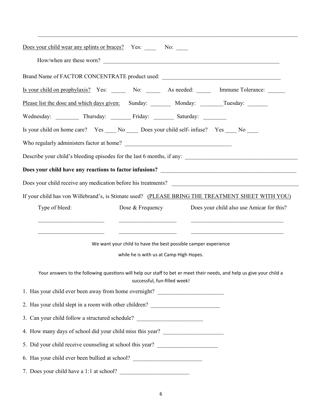| Does your child wear any splints or braces? Yes: No: No:                                                                                              |  |  |
|-------------------------------------------------------------------------------------------------------------------------------------------------------|--|--|
| How/when are these worn?                                                                                                                              |  |  |
| Brand Name of FACTOR CONCENTRATE product used: __________________________________                                                                     |  |  |
|                                                                                                                                                       |  |  |
| Please list the dose and which days given: Sunday: __________ Monday: _________Tuesday: _________                                                     |  |  |
| Wednesday: ___________ Thursday: _________ Friday: _________ Saturday: _________                                                                      |  |  |
| Is your child on home care? Yes ______ No _______ Does your child self- infuse? Yes ______ No _____                                                   |  |  |
|                                                                                                                                                       |  |  |
|                                                                                                                                                       |  |  |
|                                                                                                                                                       |  |  |
|                                                                                                                                                       |  |  |
| If your child has von Willebrand's, is Stimate used? (PLEASE BRING THE TREATMENT SHEET WITH YOU)                                                      |  |  |
| Dose & Frequency<br>Does your child also use Amicar for this?<br>Type of bleed:                                                                       |  |  |
|                                                                                                                                                       |  |  |
| We want your child to have the best possible camper experience                                                                                        |  |  |
| while he is with us at Camp High Hopes.                                                                                                               |  |  |
| Your answers to the following questions will help our staff to bet er meet their needs, and help us give your child a<br>successful, fun-filled week! |  |  |
| 1. Has your child ever been away from home overnight? __________________________                                                                      |  |  |
| 2. Has your child slept in a room with other children? _________________________                                                                      |  |  |
| 3. Can your child follow a structured schedule? ________________________________                                                                      |  |  |
| 4. How many days of school did your child miss this year?                                                                                             |  |  |
| 5. Did your child receive counseling at school this year? ______________________                                                                      |  |  |
| 6. Has your child ever been bullied at school? _________________________________                                                                      |  |  |
| 7. Does your child have a 1:1 at school?                                                                                                              |  |  |

 $\mathcal{L}_\text{max}$  , and the contribution of the contribution of the contribution of the contribution of the contribution of the contribution of the contribution of the contribution of the contribution of the contribution of t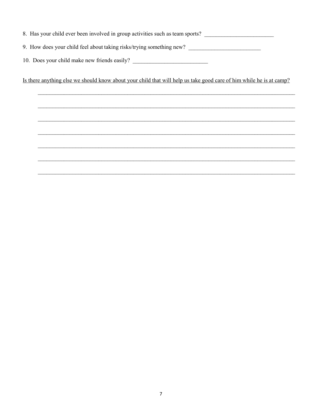- 8. Has your child ever been involved in group activities such as team sports?
- 9. How does your child feel about taking risks/trying something new?
- 10. Does your child make new friends easily? \_\_\_\_\_\_\_\_\_\_\_\_\_\_\_\_\_\_\_\_\_\_\_\_\_\_\_\_\_\_\_\_\_\_\_

Is there anything else we should know about your child that will help us take good care of him while he is at camp?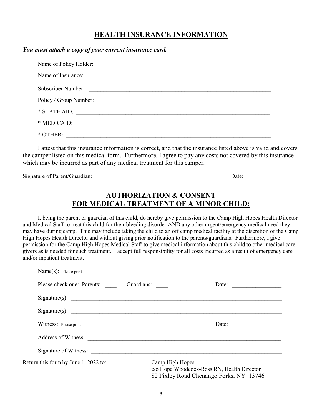## **HEALTH INSURANCE INFORMATION**

#### *You must attach a copy of your current insurance card.*

| Subscriber Number: |
|--------------------|
|                    |
|                    |
| * MEDICAID:        |
| $*$ OTHER:         |

I attest that this insurance information is correct, and that the insurance listed above is valid and covers the camper listed on this medical form. Furthermore, I agree to pay any costs not covered by this insurance which may be incurred as part of any medical treatment for this camper.

Signature of Parent/Guardian: \_\_\_\_\_\_\_\_\_\_\_\_\_\_\_\_\_\_\_\_\_\_\_\_\_\_\_\_\_\_\_\_\_\_\_\_\_\_\_\_\_\_\_\_\_ Date: \_\_\_\_\_\_\_\_\_\_\_\_\_\_\_\_

## **AUTHORIZATION & CONSENT FOR MEDICAL TREATMENT OF A MINOR CHILD:**

I, being the parent or guardian of this child, do hereby give permission to the Camp High Hopes Health Director and Medical Staff to treat this child for their bleeding disorder AND any other urgent/emergency medical need they may have during camp. This may include taking the child to an off camp medical facility at the discretion of the Camp High Hopes Health Director and without giving prior notification to the parents/guardians. Furthermore, I give permission for the Camp High Hopes Medical Staff to give medical information about this child to other medical care givers as is needed for such treatment. I accept full responsibility for all costs incurred as a result of emergency care and/or inpatient treatment.

| Name(s): Please print $\qquad \qquad$       |                                                                                                          |                              |
|---------------------------------------------|----------------------------------------------------------------------------------------------------------|------------------------------|
| Please check one: Parents: Guardians:       |                                                                                                          | Date:                        |
| Signature(s): $\qquad \qquad$               |                                                                                                          |                              |
| Signature(s):                               |                                                                                                          |                              |
|                                             |                                                                                                          | Date: $\qquad \qquad \qquad$ |
|                                             |                                                                                                          |                              |
| Signature of Witness: Signature of Witness: |                                                                                                          |                              |
| Return this form by June 1, 2022 to:        | Camp High Hopes<br>c/o Hope Woodcock-Ross RN, Health Director<br>82 Pixley Road Chenango Forks, NY 13746 |                              |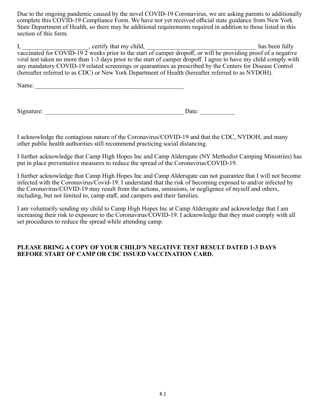Due to the ongoing pandemic caused by the novel COVID-19 Coronavirus, we are asking parents to additionally complete this COVID-19 Compliance Form. We have not yet received official state guidance from New York State Department of Health, so there may be additional requirements required in addition to those listed in this section of this form.

I, \_\_\_\_\_\_\_\_\_\_\_\_\_\_\_\_\_\_\_\_\_, certify that my child, \_\_\_\_\_\_\_\_\_\_\_\_\_\_\_\_\_\_\_\_\_\_\_\_\_\_\_\_\_\_\_\_\_\_\_ has been fully vaccinated for COVID-19 2 weeks prior to the start of camper dropoff, or will be providing proof of a negative viral test taken no more than 1-3 days prior to the start of camper dropoff. I agree to have my child comply with any mandatory COVID-19 related screenings or quarantines as prescribed by the Centers for Disease Control (hereafter referred to as CDC) or New York Department of Health (hereafter referred to as NYDOH).

Name:

| Si,<br>. .<br>nature. | aw. |
|-----------------------|-----|
|-----------------------|-----|

I acknowledge the contagious nature of the Coronavirus/COVID-19 and that the CDC, NYDOH, and many other public health authorities still recommend practicing social distancing.

I further acknowledge that Camp High Hopes Inc and Camp Aldersgate (NY Methodist Camping Ministries) has put in place preventative measures to reduce the spread of the Coronavirus/COVID-19.

I further acknowledge that Camp High Hopes Inc and Camp Aldersgate can not guarantee that I will not become infected with the Coronavirus/Covid-19. I understand that the risk of becoming exposed to and/or infected by the Coronavirus/COVID-19 may result from the actions, omissions, or negligence of myself and others, including, but not limited to, camp staff, and campers and their families.

I am voluntarily sending my child to Camp High Hopes Inc at Camp Aldersgate and acknowledge that I am increasing their risk to exposure to the Coronavirus/COVID-19. I acknowledge that they must comply with all set procedures to reduce the spread while attending camp.

### **PLEASE BRING A COPY OF YOUR CHILD'S NEGATIVE TEST RESULT DATED 1-3 DAYS BEFORE START OF CAMP OR CDC ISSUED VACCINATION CARD.**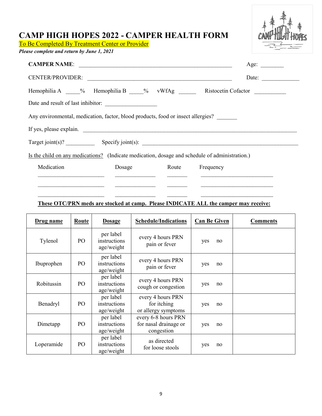## **CAMP HIGH HOPES 2022 - CAMPER HEALTH FORM**

To Be Completed By Treatment Center or Provider

*Please complete and return by June 1, 2021*

| HOP<br>al<br>1<br>-Ç |
|----------------------|
|                      |

|                                                                                                |        |                 |  | Age:  |  |  |
|------------------------------------------------------------------------------------------------|--------|-----------------|--|-------|--|--|
| CENTER/PROVIDER:                                                                               |        |                 |  | Date: |  |  |
| Hemophilia A ____% Hemophilia B ____% vWfAg ______ Ristocetin Cofactor _________               |        |                 |  |       |  |  |
|                                                                                                |        |                 |  |       |  |  |
| Any environmental, medication, factor, blood products, food or insect allergies?               |        |                 |  |       |  |  |
| If yes, please explain.                                                                        |        |                 |  |       |  |  |
|                                                                                                |        |                 |  |       |  |  |
| Is the child on any medications? (Indicate medication, dosage and schedule of administration.) |        |                 |  |       |  |  |
| Medication                                                                                     | Dosage | Route Frequency |  |       |  |  |
|                                                                                                |        |                 |  |       |  |  |
|                                                                                                |        |                 |  |       |  |  |

### **These OTC/PRN meds are stocked at camp. Please INDICATE ALL the camper may receive:**

| Drug name  | Route | <b>Dosage</b>                           | <b>Schedule/Indications</b>                                | <b>Can Be Given</b> |    | <b>Comments</b> |
|------------|-------|-----------------------------------------|------------------------------------------------------------|---------------------|----|-----------------|
| Tylenol    | PO    | per label<br>instructions<br>age/weight | every 4 hours PRN<br>pain or fever                         | yes                 | no |                 |
| Ibuprophen | PO    | per label<br>instructions<br>age/weight | every 4 hours PRN<br>pain or fever                         | yes                 | no |                 |
| Robitussin | PO    | per label<br>instructions<br>age/weight | every 4 hours PRN<br>cough or congestion                   | yes                 | no |                 |
| Benadryl   | PO    | per label<br>instructions<br>age/weight | every 4 hours PRN<br>for itching<br>or allergy symptoms    | yes                 | no |                 |
| Dimetapp   | PO    | per label<br>instructions<br>age/weight | every 6-8 hours PRN<br>for nasal drainage or<br>congestion | yes                 | no |                 |
| Loperamide | PO    | per label<br>instructions<br>age/weight | as directed<br>for loose stools                            | yes                 | no |                 |